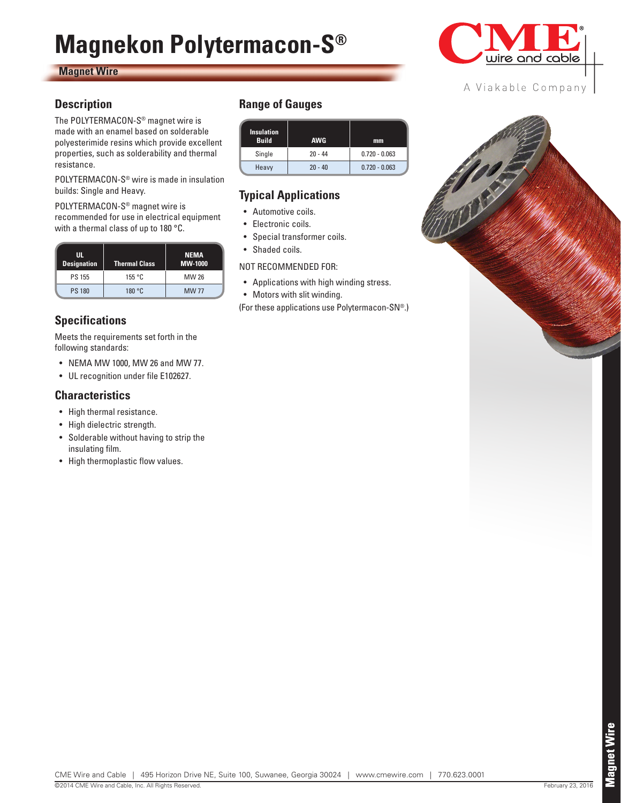# **Magnekon Polytermacon-S®**

#### **Magnet Wire**

#### **Description**

The POLYTERMACON-S® magnet wire is made with an enamel based on solderable polyesterimide resins which provide excellent properties, such as solderability and thermal resistance.

POLYTERMACON-S® wire is made in insulation builds: Single and Heavy.

POLYTERMACON-S® magnet wire is recommended for use in electrical equipment with a thermal class of up to 180 °C.

| Ш.<br><b>Designation</b> | <b>Thermal Class</b> | <b>NEMA</b><br>MW-1000 |
|--------------------------|----------------------|------------------------|
| <b>PS 155</b>            | 155 °C               | MW 26                  |
| <b>PS 180</b>            | 180 °C               | <b>MW77</b>            |

# **Specifications**

Meets the requirements set forth in the following standards:

- NEMA MW 1000, MW 26 and MW 77.
- UL recognition under file E102627.

#### **Characteristics**

- High thermal resistance.
- High dielectric strength.
- Solderable without having to strip the insulating film.
- High thermoplastic flow values.

### **Range of Gauges**

| <b>Insulation</b><br><b>Build</b> | <b>AWG</b> | mm              |  |
|-----------------------------------|------------|-----------------|--|
| Single                            | $20 - 44$  | $0.720 - 0.063$ |  |
| Heavy                             | $20 - 40$  | $0.720 - 0.063$ |  |

# **Typical Applications**

- Automotive coils.
- Electronic coils.
- Special transformer coils.
- Shaded coils.

NOT RECOMMENDED FOR:

- Applications with high winding stress.
- Motors with slit winding.

(For these applications use Polytermacon-SN®.)



#### A Viakable Company